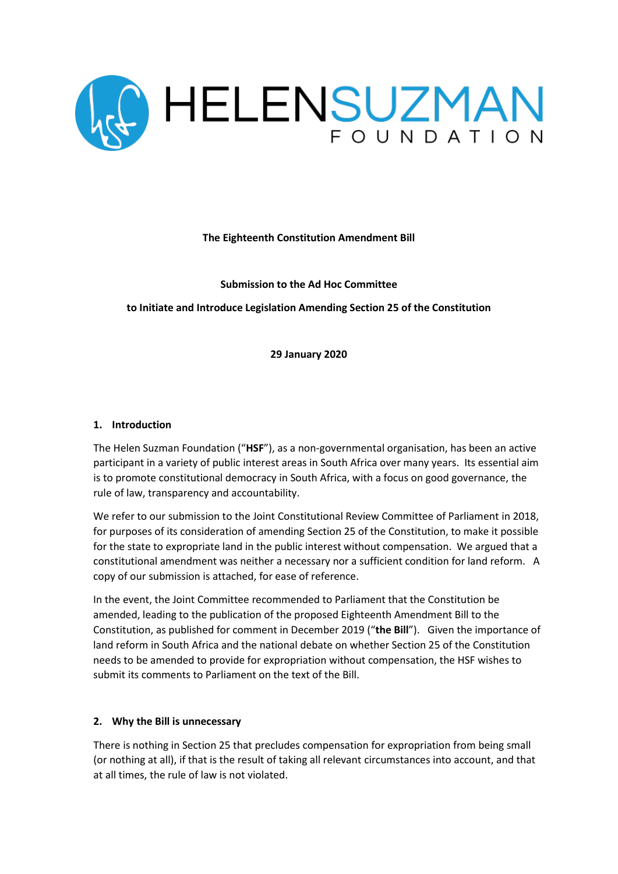

**The Eighteenth Constitution Amendment Bill** 

**Submission to the Ad Hoc Committee** 

**to Initiate and Introduce Legislation Amending Section 25 of the Constitution**

**29 January 2020**

### **1. Introduction**

The Helen Suzman Foundation ("**HSF**"), as a non-governmental organisation, has been an active participant in a variety of public interest areas in South Africa over many years. Its essential aim is to promote constitutional democracy in South Africa, with a focus on good governance, the rule of law, transparency and accountability.

We refer to our submission to the Joint Constitutional Review Committee of Parliament in 2018, for purposes of its consideration of amending Section 25 of the Constitution, to make it possible for the state to expropriate land in the public interest without compensation. We argued that a constitutional amendment was neither a necessary nor a sufficient condition for land reform. A copy of our submission is attached, for ease of reference.

In the event, the Joint Committee recommended to Parliament that the Constitution be amended, leading to the publication of the proposed Eighteenth Amendment Bill to the Constitution, as published for comment in December 2019 ("**the Bill**"). Given the importance of land reform in South Africa and the national debate on whether Section 25 of the Constitution needs to be amended to provide for expropriation without compensation, the HSF wishes to submit its comments to Parliament on the text of the Bill.

## **2. Why the Bill is unnecessary**

There is nothing in Section 25 that precludes compensation for expropriation from being small (or nothing at all), if that is the result of taking all relevant circumstances into account, and that at all times, the rule of law is not violated.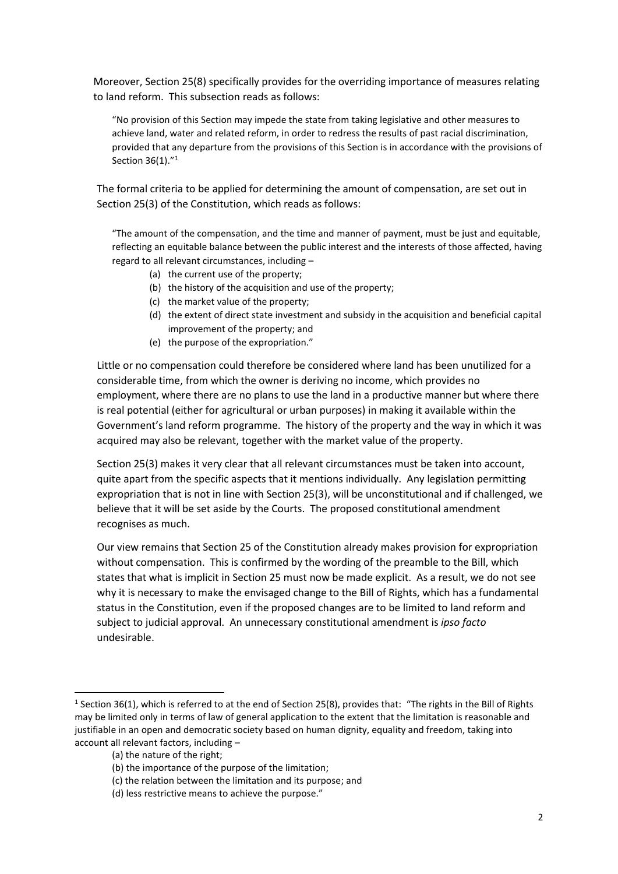Moreover, Section 25(8) specifically provides for the overriding importance of measures relating to land reform. This subsection reads as follows:

"No provision of this Section may impede the state from taking legislative and other measures to achieve land, water and related reform, in order to redress the results of past racial discrimination, provided that any departure from the provisions of this Section is in accordance with the provisions of Section 36(1)."<sup>1</sup>

The formal criteria to be applied for determining the amount of compensation, are set out in Section 25(3) of the Constitution, which reads as follows:

"The amount of the compensation, and the time and manner of payment, must be just and equitable, reflecting an equitable balance between the public interest and the interests of those affected, having regard to all relevant circumstances, including –

- (a) the current use of the property;
- (b) the history of the acquisition and use of the property;
- (c) the market value of the property;
- (d) the extent of direct state investment and subsidy in the acquisition and beneficial capital improvement of the property; and
- (e) the purpose of the expropriation."

Little or no compensation could therefore be considered where land has been unutilized for a considerable time, from which the owner is deriving no income, which provides no employment, where there are no plans to use the land in a productive manner but where there is real potential (either for agricultural or urban purposes) in making it available within the Government's land reform programme. The history of the property and the way in which it was acquired may also be relevant, together with the market value of the property.

Section 25(3) makes it very clear that all relevant circumstances must be taken into account, quite apart from the specific aspects that it mentions individually. Any legislation permitting expropriation that is not in line with Section 25(3), will be unconstitutional and if challenged, we believe that it will be set aside by the Courts. The proposed constitutional amendment recognises as much.

Our view remains that Section 25 of the Constitution already makes provision for expropriation without compensation. This is confirmed by the wording of the preamble to the Bill, which states that what is implicit in Section 25 must now be made explicit. As a result, we do not see why it is necessary to make the envisaged change to the Bill of Rights, which has a fundamental status in the Constitution, even if the proposed changes are to be limited to land reform and subject to judicial approval. An unnecessary constitutional amendment is *ipso facto*  undesirable.

<sup>&</sup>lt;sup>1</sup> Section 36(1), which is referred to at the end of Section 25(8), provides that: "The rights in the Bill of Rights may be limited only in terms of law of general application to the extent that the limitation is reasonable and justifiable in an open and democratic society based on human dignity, equality and freedom, taking into account all relevant factors, including –

<sup>(</sup>a) the nature of the right;

<sup>(</sup>b) the importance of the purpose of the limitation;

<sup>(</sup>c) the relation between the limitation and its purpose; and

<sup>(</sup>d) less restrictive means to achieve the purpose."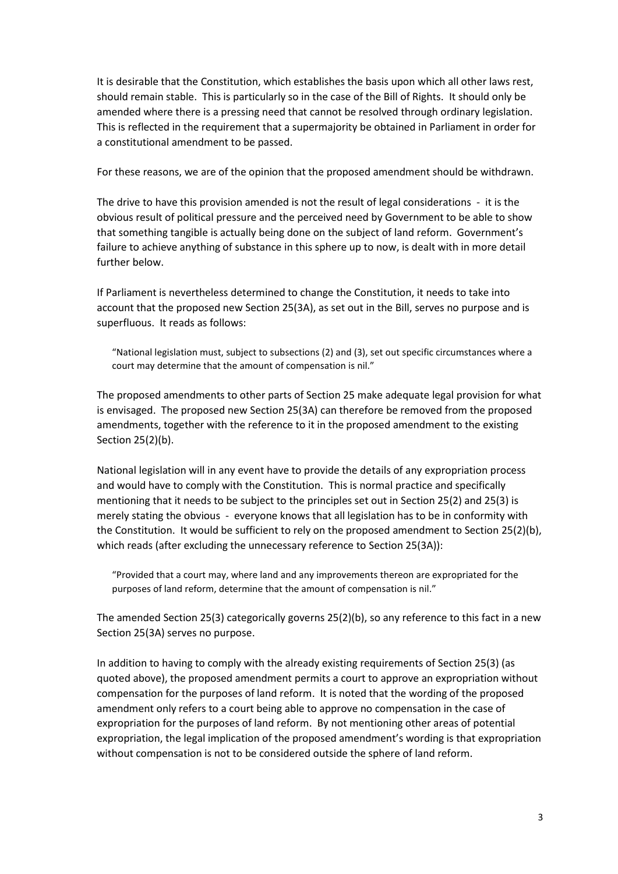It is desirable that the Constitution, which establishes the basis upon which all other laws rest, should remain stable. This is particularly so in the case of the Bill of Rights. It should only be amended where there is a pressing need that cannot be resolved through ordinary legislation. This is reflected in the requirement that a supermajority be obtained in Parliament in order for a constitutional amendment to be passed.

For these reasons, we are of the opinion that the proposed amendment should be withdrawn.

The drive to have this provision amended is not the result of legal considerations - it is the obvious result of political pressure and the perceived need by Government to be able to show that something tangible is actually being done on the subject of land reform. Government's failure to achieve anything of substance in this sphere up to now, is dealt with in more detail further below.

If Parliament is nevertheless determined to change the Constitution, it needs to take into account that the proposed new Section 25(3A), as set out in the Bill, serves no purpose and is superfluous. It reads as follows:

"National legislation must, subject to subsections (2) and (3), set out specific circumstances where a court may determine that the amount of compensation is nil."

The proposed amendments to other parts of Section 25 make adequate legal provision for what is envisaged. The proposed new Section 25(3A) can therefore be removed from the proposed amendments, together with the reference to it in the proposed amendment to the existing Section 25(2)(b).

National legislation will in any event have to provide the details of any expropriation process and would have to comply with the Constitution. This is normal practice and specifically mentioning that it needs to be subject to the principles set out in Section 25(2) and 25(3) is merely stating the obvious - everyone knows that all legislation has to be in conformity with the Constitution. It would be sufficient to rely on the proposed amendment to Section 25(2)(b), which reads (after excluding the unnecessary reference to Section 25(3A)):

"Provided that a court may, where land and any improvements thereon are expropriated for the purposes of land reform, determine that the amount of compensation is nil."

The amended Section 25(3) categorically governs 25(2)(b), so any reference to this fact in a new Section 25(3A) serves no purpose.

In addition to having to comply with the already existing requirements of Section 25(3) (as quoted above), the proposed amendment permits a court to approve an expropriation without compensation for the purposes of land reform. It is noted that the wording of the proposed amendment only refers to a court being able to approve no compensation in the case of expropriation for the purposes of land reform. By not mentioning other areas of potential expropriation, the legal implication of the proposed amendment's wording is that expropriation without compensation is not to be considered outside the sphere of land reform.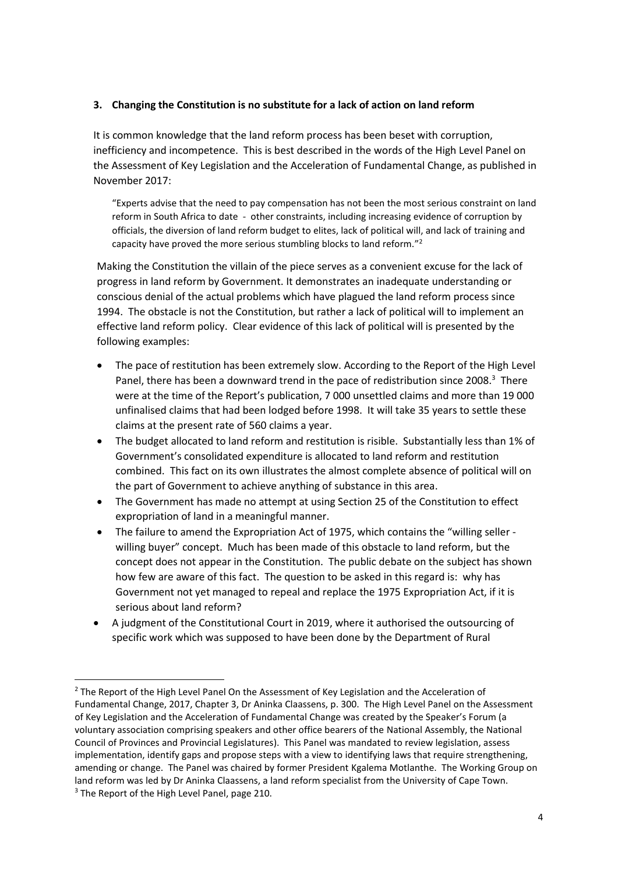## **3. Changing the Constitution is no substitute for a lack of action on land reform**

It is common knowledge that the land reform process has been beset with corruption, inefficiency and incompetence. This is best described in the words of the High Level Panel on the Assessment of Key Legislation and the Acceleration of Fundamental Change, as published in November 2017:

"Experts advise that the need to pay compensation has not been the most serious constraint on land reform in South Africa to date - other constraints, including increasing evidence of corruption by officials, the diversion of land reform budget to elites, lack of political will, and lack of training and capacity have proved the more serious stumbling blocks to land reform."<sup>2</sup>

Making the Constitution the villain of the piece serves as a convenient excuse for the lack of progress in land reform by Government. It demonstrates an inadequate understanding or conscious denial of the actual problems which have plagued the land reform process since 1994. The obstacle is not the Constitution, but rather a lack of political will to implement an effective land reform policy. Clear evidence of this lack of political will is presented by the following examples:

- The pace of restitution has been extremely slow. According to the Report of the High Level Panel, there has been a downward trend in the pace of redistribution since 2008.<sup>3</sup> There were at the time of the Report's publication, 7 000 unsettled claims and more than 19 000 unfinalised claims that had been lodged before 1998. It will take 35 years to settle these claims at the present rate of 560 claims a year.
- The budget allocated to land reform and restitution is risible. Substantially less than 1% of Government's consolidated expenditure is allocated to land reform and restitution combined. This fact on its own illustrates the almost complete absence of political will on the part of Government to achieve anything of substance in this area.
- The Government has made no attempt at using Section 25 of the Constitution to effect expropriation of land in a meaningful manner.
- The failure to amend the Expropriation Act of 1975, which contains the "willing seller willing buyer" concept. Much has been made of this obstacle to land reform, but the concept does not appear in the Constitution. The public debate on the subject has shown how few are aware of this fact. The question to be asked in this regard is: why has Government not yet managed to repeal and replace the 1975 Expropriation Act, if it is serious about land reform?
- A judgment of the Constitutional Court in 2019, where it authorised the outsourcing of specific work which was supposed to have been done by the Department of Rural

<sup>&</sup>lt;sup>2</sup> The Report of the High Level Panel On the Assessment of Key Legislation and the Acceleration of Fundamental Change, 2017, Chapter 3, Dr Aninka Claassens, p. 300. The High Level Panel on the Assessment of Key Legislation and the Acceleration of Fundamental Change was created by the Speaker's Forum (a voluntary association comprising speakers and other office bearers of the National Assembly, the National Council of Provinces and Provincial Legislatures). This Panel was mandated to review legislation, assess implementation, identify gaps and propose steps with a view to identifying laws that require strengthening, amending or change. The Panel was chaired by former President Kgalema Motlanthe. The Working Group on land reform was led by Dr Aninka Claassens, a land reform specialist from the University of Cape Town. <sup>3</sup> The Report of the High Level Panel, page 210.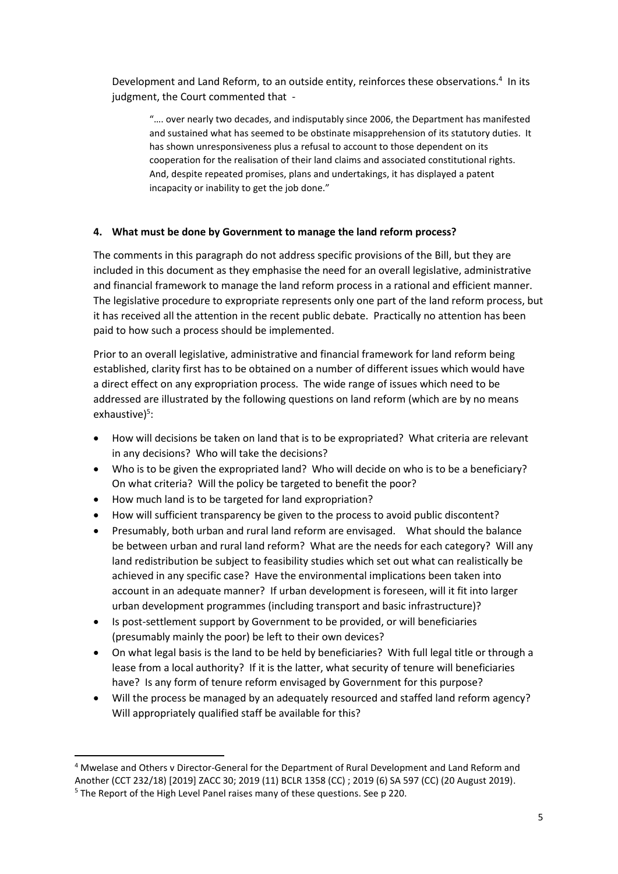Development and Land Reform, to an outside entity, reinforces these observations.<sup>4</sup> In its judgment, the Court commented that -

"…. over nearly two decades, and indisputably since 2006, the Department has manifested and sustained what has seemed to be obstinate misapprehension of its statutory duties. It has shown unresponsiveness plus a refusal to account to those dependent on its cooperation for the realisation of their land claims and associated constitutional rights. And, despite repeated promises, plans and undertakings, it has displayed a patent incapacity or inability to get the job done."

### **4. What must be done by Government to manage the land reform process?**

The comments in this paragraph do not address specific provisions of the Bill, but they are included in this document as they emphasise the need for an overall legislative, administrative and financial framework to manage the land reform process in a rational and efficient manner. The legislative procedure to expropriate represents only one part of the land reform process, but it has received all the attention in the recent public debate. Practically no attention has been paid to how such a process should be implemented.

Prior to an overall legislative, administrative and financial framework for land reform being established, clarity first has to be obtained on a number of different issues which would have a direct effect on any expropriation process. The wide range of issues which need to be addressed are illustrated by the following questions on land reform (which are by no means exhaustive)<sup>5</sup>:

- How will decisions be taken on land that is to be expropriated? What criteria are relevant in any decisions? Who will take the decisions?
- Who is to be given the expropriated land? Who will decide on who is to be a beneficiary? On what criteria? Will the policy be targeted to benefit the poor?
- How much land is to be targeted for land expropriation?
- How will sufficient transparency be given to the process to avoid public discontent?
- Presumably, both urban and rural land reform are envisaged. What should the balance be between urban and rural land reform? What are the needs for each category? Will any land redistribution be subject to feasibility studies which set out what can realistically be achieved in any specific case? Have the environmental implications been taken into account in an adequate manner? If urban development is foreseen, will it fit into larger urban development programmes (including transport and basic infrastructure)?
- Is post-settlement support by Government to be provided, or will beneficiaries (presumably mainly the poor) be left to their own devices?
- On what legal basis is the land to be held by beneficiaries? With full legal title or through a lease from a local authority? If it is the latter, what security of tenure will beneficiaries have? Is any form of tenure reform envisaged by Government for this purpose?
- Will the process be managed by an adequately resourced and staffed land reform agency? Will appropriately qualified staff be available for this?

<sup>4</sup> Mwelase and Others v Director-General for the Department of Rural Development and Land Reform and Another (CCT 232/18) [2019] ZACC 30; 2019 (11) BCLR 1358 (CC) ; 2019 (6) SA 597 (CC) (20 August 2019).

<sup>5</sup> The Report of the High Level Panel raises many of these questions. See p 220.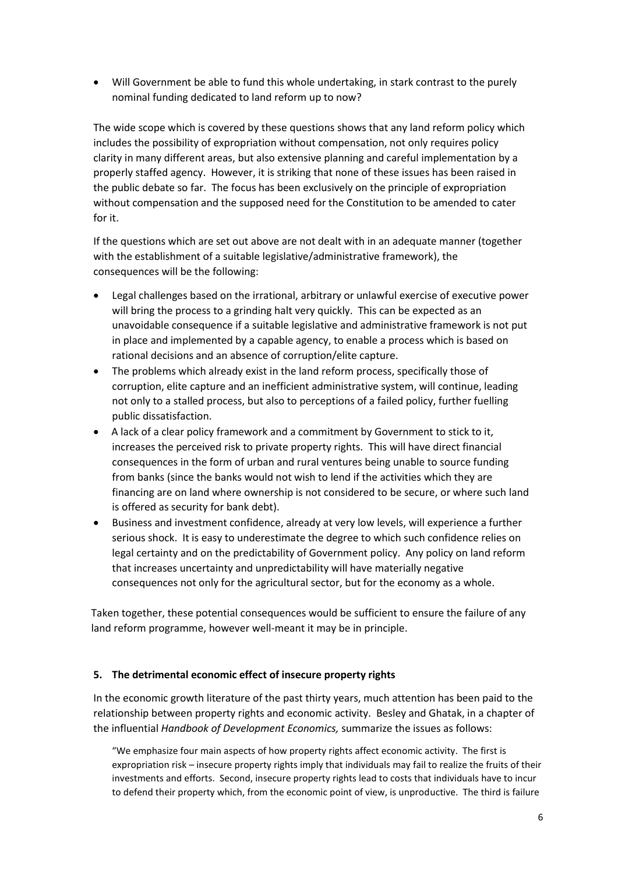• Will Government be able to fund this whole undertaking, in stark contrast to the purely nominal funding dedicated to land reform up to now?

The wide scope which is covered by these questions shows that any land reform policy which includes the possibility of expropriation without compensation, not only requires policy clarity in many different areas, but also extensive planning and careful implementation by a properly staffed agency. However, it is striking that none of these issues has been raised in the public debate so far. The focus has been exclusively on the principle of expropriation without compensation and the supposed need for the Constitution to be amended to cater for it.

If the questions which are set out above are not dealt with in an adequate manner (together with the establishment of a suitable legislative/administrative framework), the consequences will be the following:

- Legal challenges based on the irrational, arbitrary or unlawful exercise of executive power will bring the process to a grinding halt very quickly. This can be expected as an unavoidable consequence if a suitable legislative and administrative framework is not put in place and implemented by a capable agency, to enable a process which is based on rational decisions and an absence of corruption/elite capture.
- The problems which already exist in the land reform process, specifically those of corruption, elite capture and an inefficient administrative system, will continue, leading not only to a stalled process, but also to perceptions of a failed policy, further fuelling public dissatisfaction.
- A lack of a clear policy framework and a commitment by Government to stick to it, increases the perceived risk to private property rights. This will have direct financial consequences in the form of urban and rural ventures being unable to source funding from banks (since the banks would not wish to lend if the activities which they are financing are on land where ownership is not considered to be secure, or where such land is offered as security for bank debt).
- Business and investment confidence, already at very low levels, will experience a further serious shock. It is easy to underestimate the degree to which such confidence relies on legal certainty and on the predictability of Government policy. Any policy on land reform that increases uncertainty and unpredictability will have materially negative consequences not only for the agricultural sector, but for the economy as a whole.

Taken together, these potential consequences would be sufficient to ensure the failure of any land reform programme, however well-meant it may be in principle.

#### **5. The detrimental economic effect of insecure property rights**

In the economic growth literature of the past thirty years, much attention has been paid to the relationship between property rights and economic activity. Besley and Ghatak, in a chapter of the influential *Handbook of Development Economics,* summarize the issues as follows:

"We emphasize four main aspects of how property rights affect economic activity. The first is expropriation risk – insecure property rights imply that individuals may fail to realize the fruits of their investments and efforts. Second, insecure property rights lead to costs that individuals have to incur to defend their property which, from the economic point of view, is unproductive. The third is failure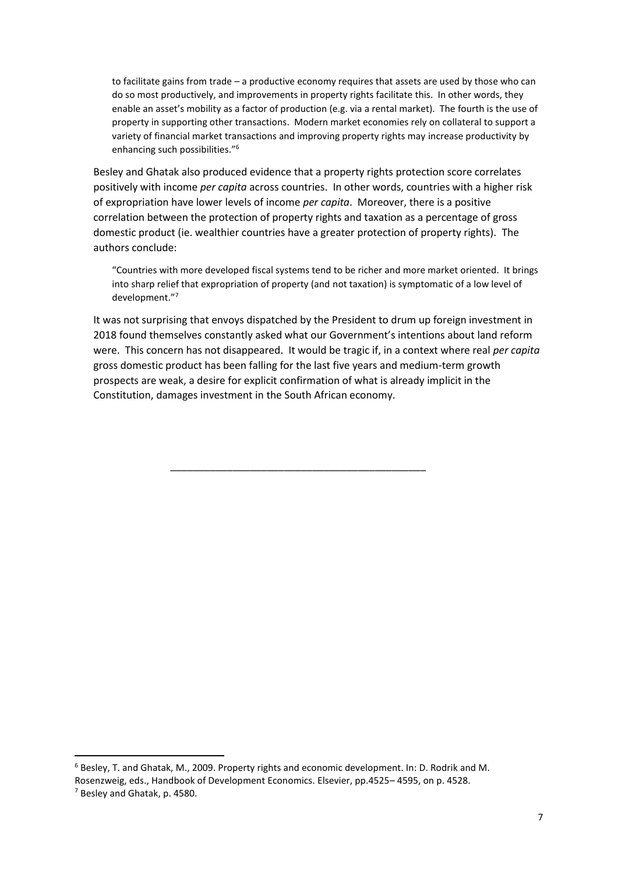to facilitate gains from trade – a productive economy requires that assets are used by those who can do so most productively, and improvements in property rights facilitate this. In other words, they enable an asset's mobility as a factor of production (e.g. via a rental market). The fourth is the use of property in supporting other transactions. Modern market economies rely on collateral to support a variety of financial market transactions and improving property rights may increase productivity by enhancing such possibilities."<sup>6</sup>

Besley and Ghatak also produced evidence that a property rights protection score correlates positively with income *per capita* across countries. In other words, countries with a higher risk of expropriation have lower levels of income *per capita*. Moreover, there is a positive correlation between the protection of property rights and taxation as a percentage of gross domestic product (ie. wealthier countries have a greater protection of property rights). The authors conclude:

"Countries with more developed fiscal systems tend to be richer and more market oriented. It brings into sharp relief that expropriation of property (and not taxation) is symptomatic of a low level of development."<sup>7</sup>

It was not surprising that envoys dispatched by the President to drum up foreign investment in 2018 found themselves constantly asked what our Government's intentions about land reform were. This concern has not disappeared. It would be tragic if, in a context where real *per capita* gross domestic product has been falling for the last five years and medium-term growth prospects are weak, a desire for explicit confirmation of what is already implicit in the Constitution, damages investment in the South African economy.

\_\_\_\_\_\_\_\_\_\_\_\_\_\_\_\_\_\_\_\_\_\_\_\_\_\_\_\_\_\_\_\_\_\_\_\_\_\_\_\_\_\_\_\_\_

<sup>6</sup> Besley, T. and Ghatak, M., 2009. Property rights and economic development. In: D. Rodrik and M.

Rosenzweig, eds., Handbook of Development Economics. Elsevier, pp.4525– 4595, on p. 4528.

<sup>7</sup> Besley and Ghatak, p. 4580.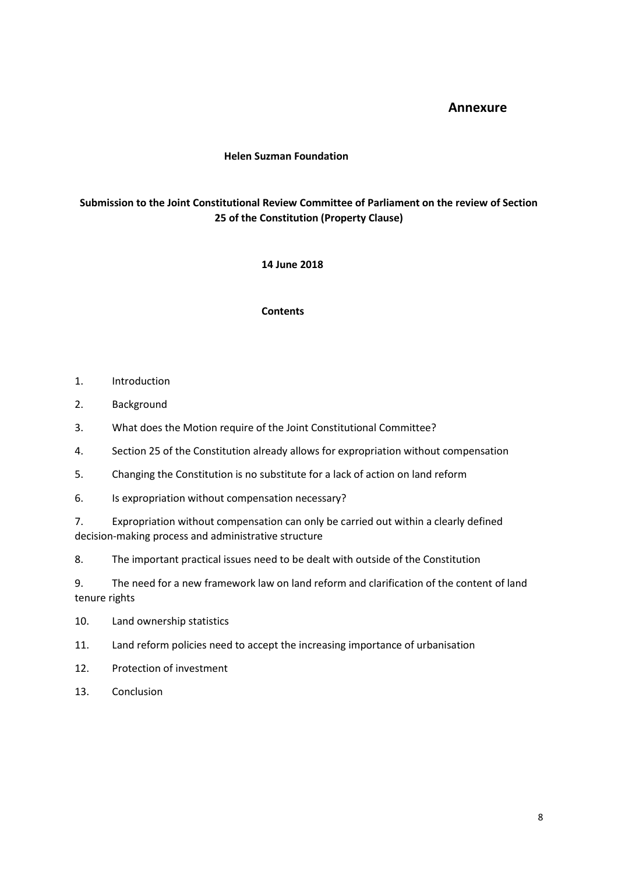# **Annexure**

#### **Helen Suzman Foundation**

# **Submission to the Joint Constitutional Review Committee of Parliament on the review of Section 25 of the Constitution (Property Clause)**

#### **14 June 2018**

#### **Contents**

- 1. Introduction
- 2. Background
- 3. What does the Motion require of the Joint Constitutional Committee?
- 4. Section 25 of the Constitution already allows for expropriation without compensation
- 5. Changing the Constitution is no substitute for a lack of action on land reform
- 6. Is expropriation without compensation necessary?
- 7. Expropriation without compensation can only be carried out within a clearly defined decision-making process and administrative structure
- 8. The important practical issues need to be dealt with outside of the Constitution

9. The need for a new framework law on land reform and clarification of the content of land tenure rights

- 10. Land ownership statistics
- 11. Land reform policies need to accept the increasing importance of urbanisation
- 12. Protection of investment
- 13. Conclusion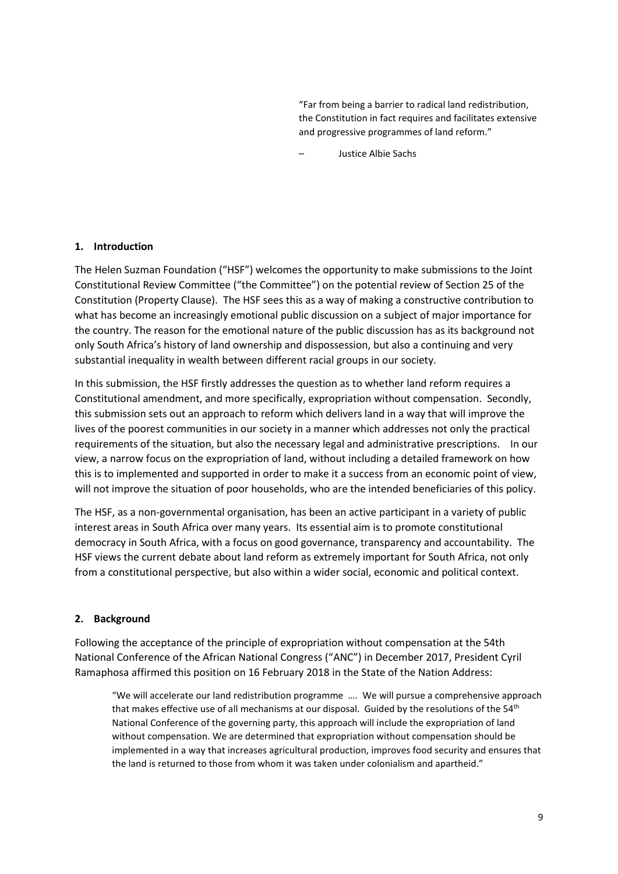"Far from being a barrier to radical land redistribution, the Constitution in fact requires and facilitates extensive and progressive programmes of land reform."

– Justice Albie Sachs

#### **1. Introduction**

The Helen Suzman Foundation ("HSF") welcomes the opportunity to make submissions to the Joint Constitutional Review Committee ("the Committee") on the potential review of Section 25 of the Constitution (Property Clause). The HSF sees this as a way of making a constructive contribution to what has become an increasingly emotional public discussion on a subject of major importance for the country. The reason for the emotional nature of the public discussion has as its background not only South Africa's history of land ownership and dispossession, but also a continuing and very substantial inequality in wealth between different racial groups in our society.

In this submission, the HSF firstly addresses the question as to whether land reform requires a Constitutional amendment, and more specifically, expropriation without compensation. Secondly, this submission sets out an approach to reform which delivers land in a way that will improve the lives of the poorest communities in our society in a manner which addresses not only the practical requirements of the situation, but also the necessary legal and administrative prescriptions. In our view, a narrow focus on the expropriation of land, without including a detailed framework on how this is to implemented and supported in order to make it a success from an economic point of view, will not improve the situation of poor households, who are the intended beneficiaries of this policy.

The HSF, as a non-governmental organisation, has been an active participant in a variety of public interest areas in South Africa over many years. Its essential aim is to promote constitutional democracy in South Africa, with a focus on good governance, transparency and accountability. The HSF views the current debate about land reform as extremely important for South Africa, not only from a constitutional perspective, but also within a wider social, economic and political context.

#### **2. Background**

Following the acceptance of the principle of expropriation without compensation at the 54th National Conference of the African National Congress ("ANC") in December 2017, President Cyril Ramaphosa affirmed this position on 16 February 2018 in the State of the Nation Address:

"We will accelerate our land redistribution programme …. We will pursue a comprehensive approach that makes effective use of all mechanisms at our disposal. Guided by the resolutions of the 54<sup>th</sup> National Conference of the governing party, this approach will include the expropriation of land without compensation. We are determined that expropriation without compensation should be implemented in a way that increases agricultural production, improves food security and ensures that the land is returned to those from whom it was taken under colonialism and apartheid."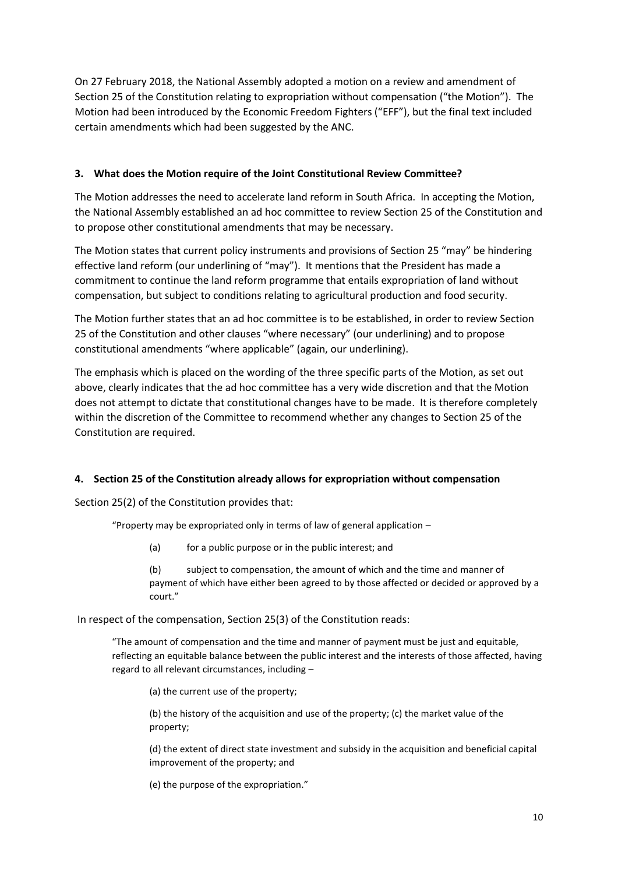On 27 February 2018, the National Assembly adopted a motion on a review and amendment of Section 25 of the Constitution relating to expropriation without compensation ("the Motion"). The Motion had been introduced by the Economic Freedom Fighters ("EFF"), but the final text included certain amendments which had been suggested by the ANC.

## **3. What does the Motion require of the Joint Constitutional Review Committee?**

The Motion addresses the need to accelerate land reform in South Africa. In accepting the Motion, the National Assembly established an ad hoc committee to review Section 25 of the Constitution and to propose other constitutional amendments that may be necessary.

The Motion states that current policy instruments and provisions of Section 25 "may" be hindering effective land reform (our underlining of "may"). It mentions that the President has made a commitment to continue the land reform programme that entails expropriation of land without compensation, but subject to conditions relating to agricultural production and food security.

The Motion further states that an ad hoc committee is to be established, in order to review Section 25 of the Constitution and other clauses "where necessary" (our underlining) and to propose constitutional amendments "where applicable" (again, our underlining).

The emphasis which is placed on the wording of the three specific parts of the Motion, as set out above, clearly indicates that the ad hoc committee has a very wide discretion and that the Motion does not attempt to dictate that constitutional changes have to be made. It is therefore completely within the discretion of the Committee to recommend whether any changes to Section 25 of the Constitution are required.

# **4. Section 25 of the Constitution already allows for expropriation without compensation**

Section 25(2) of the Constitution provides that:

"Property may be expropriated only in terms of law of general application –

(a) for a public purpose or in the public interest; and

(b) subject to compensation, the amount of which and the time and manner of payment of which have either been agreed to by those affected or decided or approved by a court."

In respect of the compensation, Section 25(3) of the Constitution reads:

"The amount of compensation and the time and manner of payment must be just and equitable, reflecting an equitable balance between the public interest and the interests of those affected, having regard to all relevant circumstances, including –

(a) the current use of the property;

(b) the history of the acquisition and use of the property; (c) the market value of the property;

(d) the extent of direct state investment and subsidy in the acquisition and beneficial capital improvement of the property; and

(e) the purpose of the expropriation."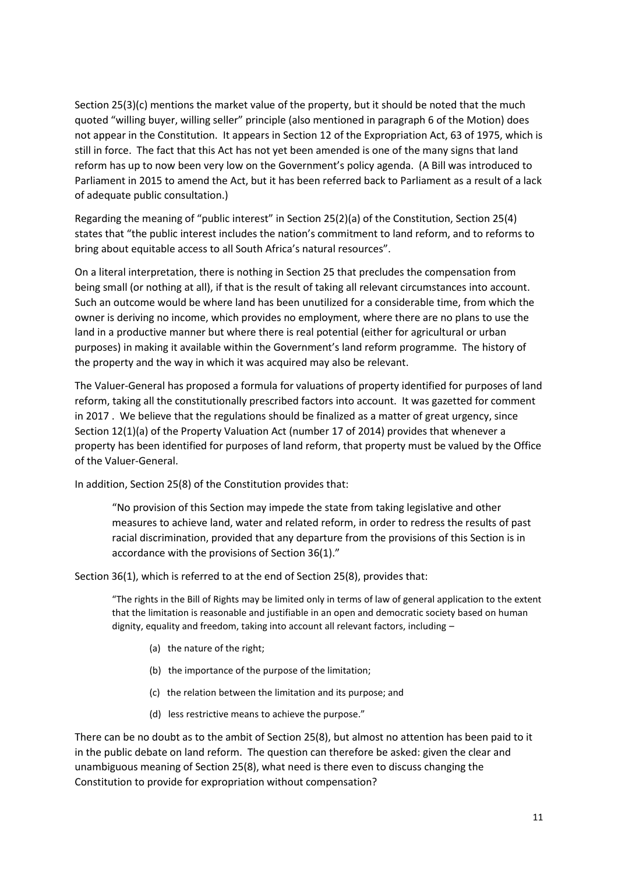Section 25(3)(c) mentions the market value of the property, but it should be noted that the much quoted "willing buyer, willing seller" principle (also mentioned in paragraph 6 of the Motion) does not appear in the Constitution. It appears in Section 12 of the Expropriation Act, 63 of 1975, which is still in force. The fact that this Act has not yet been amended is one of the many signs that land reform has up to now been very low on the Government's policy agenda. (A Bill was introduced to Parliament in 2015 to amend the Act, but it has been referred back to Parliament as a result of a lack of adequate public consultation.)

Regarding the meaning of "public interest" in Section 25(2)(a) of the Constitution, Section 25(4) states that "the public interest includes the nation's commitment to land reform, and to reforms to bring about equitable access to all South Africa's natural resources".

On a literal interpretation, there is nothing in Section 25 that precludes the compensation from being small (or nothing at all), if that is the result of taking all relevant circumstances into account. Such an outcome would be where land has been unutilized for a considerable time, from which the owner is deriving no income, which provides no employment, where there are no plans to use the land in a productive manner but where there is real potential (either for agricultural or urban purposes) in making it available within the Government's land reform programme. The history of the property and the way in which it was acquired may also be relevant.

The Valuer-General has proposed a formula for valuations of property identified for purposes of land reform, taking all the constitutionally prescribed factors into account. It was gazetted for comment in 2017 . We believe that the regulations should be finalized as a matter of great urgency, since Section 12(1)(a) of the Property Valuation Act (number 17 of 2014) provides that whenever a property has been identified for purposes of land reform, that property must be valued by the Office of the Valuer-General.

In addition, Section 25(8) of the Constitution provides that:

"No provision of this Section may impede the state from taking legislative and other measures to achieve land, water and related reform, in order to redress the results of past racial discrimination, provided that any departure from the provisions of this Section is in accordance with the provisions of Section 36(1)."

Section 36(1), which is referred to at the end of Section 25(8), provides that:

"The rights in the Bill of Rights may be limited only in terms of law of general application to the extent that the limitation is reasonable and justifiable in an open and democratic society based on human dignity, equality and freedom, taking into account all relevant factors, including –

- (a) the nature of the right;
- (b) the importance of the purpose of the limitation;
- (c) the relation between the limitation and its purpose; and
- (d) less restrictive means to achieve the purpose."

There can be no doubt as to the ambit of Section 25(8), but almost no attention has been paid to it in the public debate on land reform. The question can therefore be asked: given the clear and unambiguous meaning of Section 25(8), what need is there even to discuss changing the Constitution to provide for expropriation without compensation?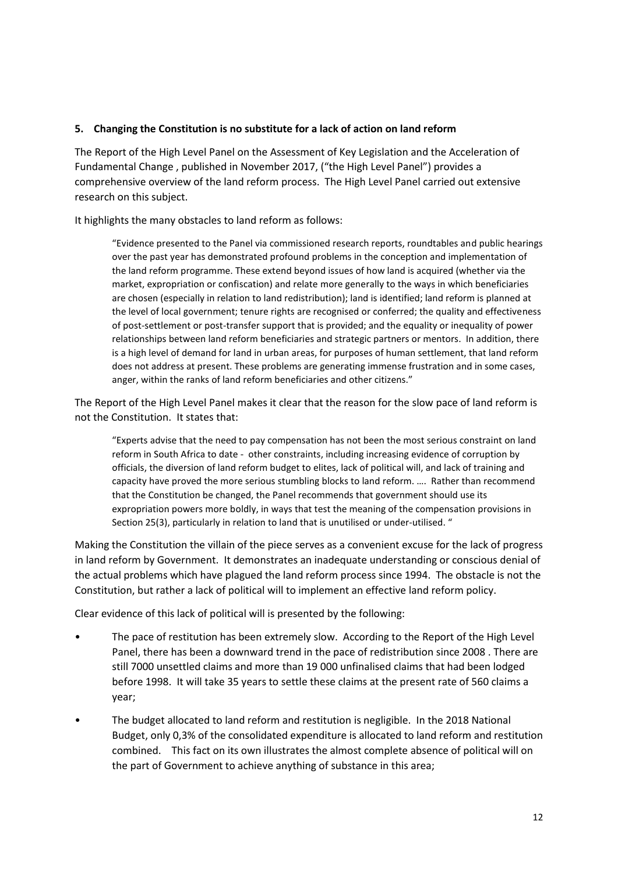### **5. Changing the Constitution is no substitute for a lack of action on land reform**

The Report of the High Level Panel on the Assessment of Key Legislation and the Acceleration of Fundamental Change , published in November 2017, ("the High Level Panel") provides a comprehensive overview of the land reform process. The High Level Panel carried out extensive research on this subject.

It highlights the many obstacles to land reform as follows:

"Evidence presented to the Panel via commissioned research reports, roundtables and public hearings over the past year has demonstrated profound problems in the conception and implementation of the land reform programme. These extend beyond issues of how land is acquired (whether via the market, expropriation or confiscation) and relate more generally to the ways in which beneficiaries are chosen (especially in relation to land redistribution); land is identified; land reform is planned at the level of local government; tenure rights are recognised or conferred; the quality and effectiveness of post-settlement or post-transfer support that is provided; and the equality or inequality of power relationships between land reform beneficiaries and strategic partners or mentors. In addition, there is a high level of demand for land in urban areas, for purposes of human settlement, that land reform does not address at present. These problems are generating immense frustration and in some cases, anger, within the ranks of land reform beneficiaries and other citizens."

The Report of the High Level Panel makes it clear that the reason for the slow pace of land reform is not the Constitution. It states that:

"Experts advise that the need to pay compensation has not been the most serious constraint on land reform in South Africa to date - other constraints, including increasing evidence of corruption by officials, the diversion of land reform budget to elites, lack of political will, and lack of training and capacity have proved the more serious stumbling blocks to land reform. …. Rather than recommend that the Constitution be changed, the Panel recommends that government should use its expropriation powers more boldly, in ways that test the meaning of the compensation provisions in Section 25(3), particularly in relation to land that is unutilised or under-utilised. "

Making the Constitution the villain of the piece serves as a convenient excuse for the lack of progress in land reform by Government. It demonstrates an inadequate understanding or conscious denial of the actual problems which have plagued the land reform process since 1994. The obstacle is not the Constitution, but rather a lack of political will to implement an effective land reform policy.

Clear evidence of this lack of political will is presented by the following:

- The pace of restitution has been extremely slow. According to the Report of the High Level Panel, there has been a downward trend in the pace of redistribution since 2008 . There are still 7000 unsettled claims and more than 19 000 unfinalised claims that had been lodged before 1998. It will take 35 years to settle these claims at the present rate of 560 claims a year;
- The budget allocated to land reform and restitution is negligible. In the 2018 National Budget, only 0,3% of the consolidated expenditure is allocated to land reform and restitution combined. This fact on its own illustrates the almost complete absence of political will on the part of Government to achieve anything of substance in this area;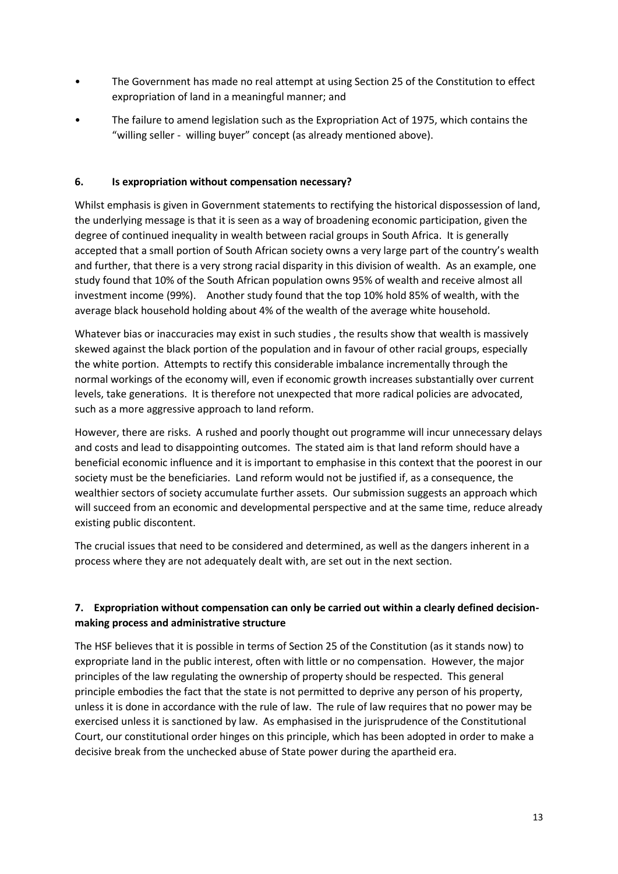- The Government has made no real attempt at using Section 25 of the Constitution to effect expropriation of land in a meaningful manner; and
- The failure to amend legislation such as the Expropriation Act of 1975, which contains the "willing seller - willing buyer" concept (as already mentioned above).

## **6. Is expropriation without compensation necessary?**

Whilst emphasis is given in Government statements to rectifying the historical dispossession of land, the underlying message is that it is seen as a way of broadening economic participation, given the degree of continued inequality in wealth between racial groups in South Africa. It is generally accepted that a small portion of South African society owns a very large part of the country's wealth and further, that there is a very strong racial disparity in this division of wealth. As an example, one study found that 10% of the South African population owns 95% of wealth and receive almost all investment income (99%). Another study found that the top 10% hold 85% of wealth, with the average black household holding about 4% of the wealth of the average white household.

Whatever bias or inaccuracies may exist in such studies , the results show that wealth is massively skewed against the black portion of the population and in favour of other racial groups, especially the white portion. Attempts to rectify this considerable imbalance incrementally through the normal workings of the economy will, even if economic growth increases substantially over current levels, take generations. It is therefore not unexpected that more radical policies are advocated, such as a more aggressive approach to land reform.

However, there are risks. A rushed and poorly thought out programme will incur unnecessary delays and costs and lead to disappointing outcomes. The stated aim is that land reform should have a beneficial economic influence and it is important to emphasise in this context that the poorest in our society must be the beneficiaries. Land reform would not be justified if, as a consequence, the wealthier sectors of society accumulate further assets. Our submission suggests an approach which will succeed from an economic and developmental perspective and at the same time, reduce already existing public discontent.

The crucial issues that need to be considered and determined, as well as the dangers inherent in a process where they are not adequately dealt with, are set out in the next section.

# **7. Expropriation without compensation can only be carried out within a clearly defined decisionmaking process and administrative structure**

The HSF believes that it is possible in terms of Section 25 of the Constitution (as it stands now) to expropriate land in the public interest, often with little or no compensation. However, the major principles of the law regulating the ownership of property should be respected. This general principle embodies the fact that the state is not permitted to deprive any person of his property, unless it is done in accordance with the rule of law. The rule of law requires that no power may be exercised unless it is sanctioned by law. As emphasised in the jurisprudence of the Constitutional Court, our constitutional order hinges on this principle, which has been adopted in order to make a decisive break from the unchecked abuse of State power during the apartheid era.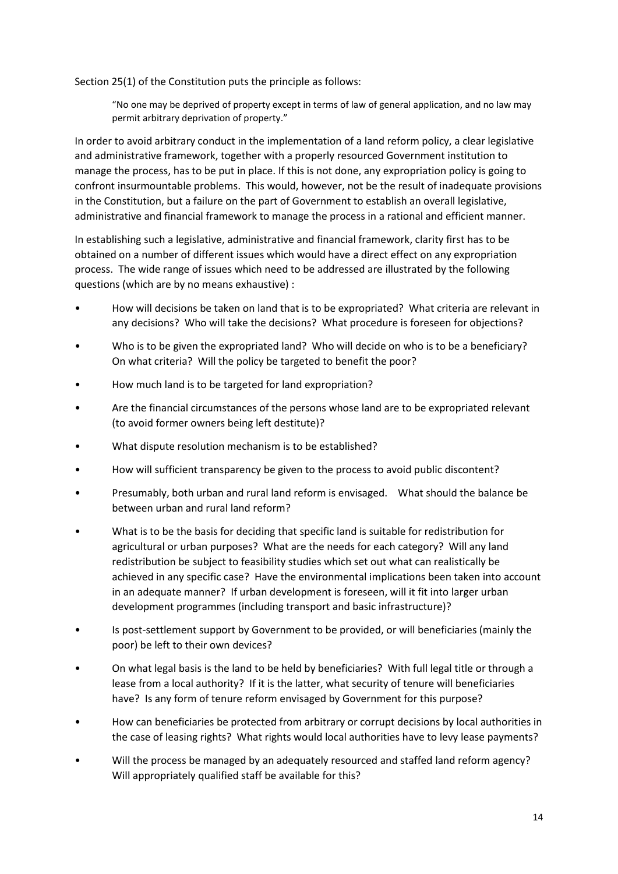Section 25(1) of the Constitution puts the principle as follows:

"No one may be deprived of property except in terms of law of general application, and no law may permit arbitrary deprivation of property."

In order to avoid arbitrary conduct in the implementation of a land reform policy, a clear legislative and administrative framework, together with a properly resourced Government institution to manage the process, has to be put in place. If this is not done, any expropriation policy is going to confront insurmountable problems. This would, however, not be the result of inadequate provisions in the Constitution, but a failure on the part of Government to establish an overall legislative, administrative and financial framework to manage the process in a rational and efficient manner.

In establishing such a legislative, administrative and financial framework, clarity first has to be obtained on a number of different issues which would have a direct effect on any expropriation process. The wide range of issues which need to be addressed are illustrated by the following questions (which are by no means exhaustive) :

- How will decisions be taken on land that is to be expropriated? What criteria are relevant in any decisions? Who will take the decisions? What procedure is foreseen for objections?
- Who is to be given the expropriated land? Who will decide on who is to be a beneficiary? On what criteria? Will the policy be targeted to benefit the poor?
- How much land is to be targeted for land expropriation?
- Are the financial circumstances of the persons whose land are to be expropriated relevant (to avoid former owners being left destitute)?
- What dispute resolution mechanism is to be established?
- How will sufficient transparency be given to the process to avoid public discontent?
- Presumably, both urban and rural land reform is envisaged. What should the balance be between urban and rural land reform?
- What is to be the basis for deciding that specific land is suitable for redistribution for agricultural or urban purposes? What are the needs for each category? Will any land redistribution be subject to feasibility studies which set out what can realistically be achieved in any specific case? Have the environmental implications been taken into account in an adequate manner? If urban development is foreseen, will it fit into larger urban development programmes (including transport and basic infrastructure)?
- Is post-settlement support by Government to be provided, or will beneficiaries (mainly the poor) be left to their own devices?
- On what legal basis is the land to be held by beneficiaries? With full legal title or through a lease from a local authority? If it is the latter, what security of tenure will beneficiaries have? Is any form of tenure reform envisaged by Government for this purpose?
- How can beneficiaries be protected from arbitrary or corrupt decisions by local authorities in the case of leasing rights? What rights would local authorities have to levy lease payments?
- Will the process be managed by an adequately resourced and staffed land reform agency? Will appropriately qualified staff be available for this?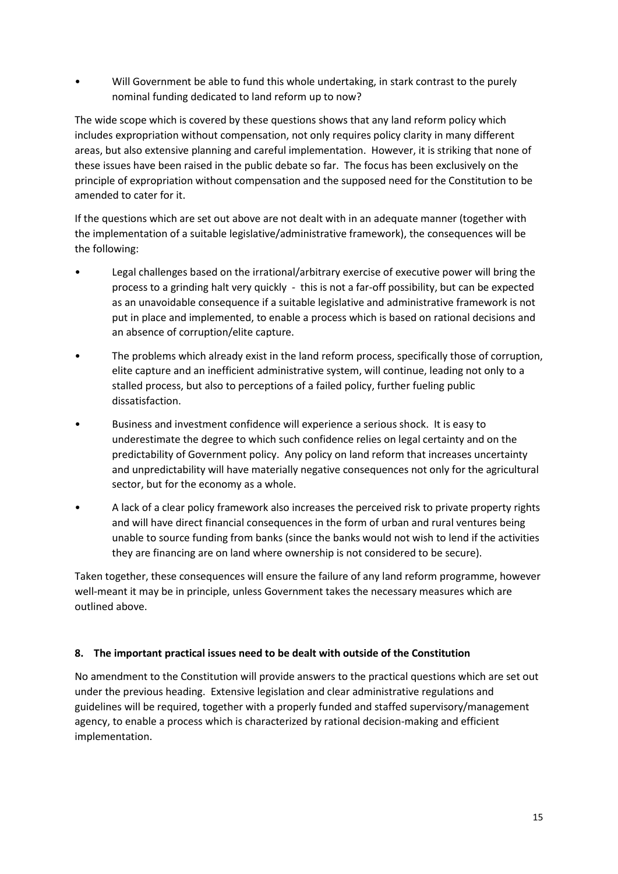• Will Government be able to fund this whole undertaking, in stark contrast to the purely nominal funding dedicated to land reform up to now?

The wide scope which is covered by these questions shows that any land reform policy which includes expropriation without compensation, not only requires policy clarity in many different areas, but also extensive planning and careful implementation. However, it is striking that none of these issues have been raised in the public debate so far. The focus has been exclusively on the principle of expropriation without compensation and the supposed need for the Constitution to be amended to cater for it.

If the questions which are set out above are not dealt with in an adequate manner (together with the implementation of a suitable legislative/administrative framework), the consequences will be the following:

- Legal challenges based on the irrational/arbitrary exercise of executive power will bring the process to a grinding halt very quickly - this is not a far-off possibility, but can be expected as an unavoidable consequence if a suitable legislative and administrative framework is not put in place and implemented, to enable a process which is based on rational decisions and an absence of corruption/elite capture.
- The problems which already exist in the land reform process, specifically those of corruption, elite capture and an inefficient administrative system, will continue, leading not only to a stalled process, but also to perceptions of a failed policy, further fueling public dissatisfaction.
- Business and investment confidence will experience a serious shock. It is easy to underestimate the degree to which such confidence relies on legal certainty and on the predictability of Government policy. Any policy on land reform that increases uncertainty and unpredictability will have materially negative consequences not only for the agricultural sector, but for the economy as a whole.
- A lack of a clear policy framework also increases the perceived risk to private property rights and will have direct financial consequences in the form of urban and rural ventures being unable to source funding from banks (since the banks would not wish to lend if the activities they are financing are on land where ownership is not considered to be secure).

Taken together, these consequences will ensure the failure of any land reform programme, however well-meant it may be in principle, unless Government takes the necessary measures which are outlined above.

## **8. The important practical issues need to be dealt with outside of the Constitution**

No amendment to the Constitution will provide answers to the practical questions which are set out under the previous heading. Extensive legislation and clear administrative regulations and guidelines will be required, together with a properly funded and staffed supervisory/management agency, to enable a process which is characterized by rational decision-making and efficient implementation.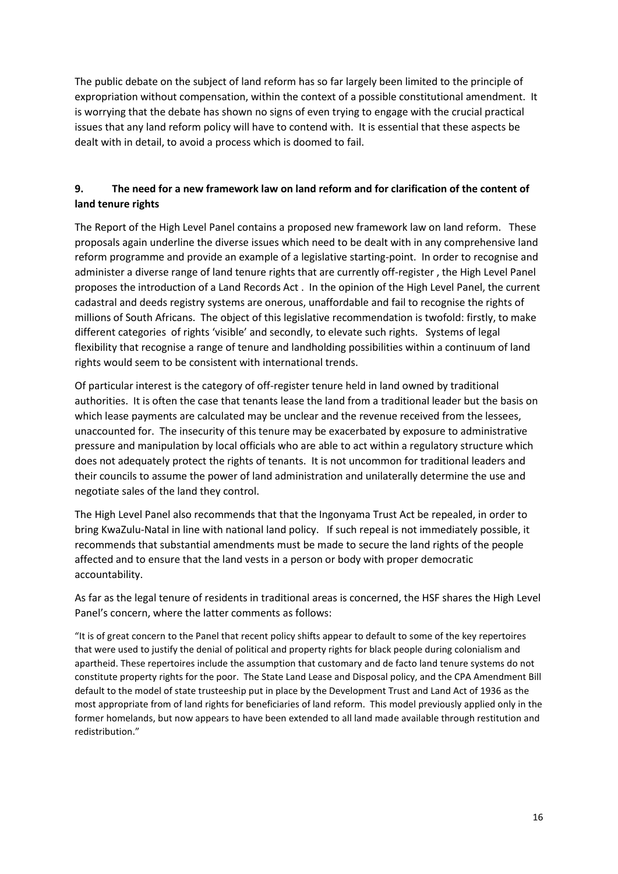The public debate on the subject of land reform has so far largely been limited to the principle of expropriation without compensation, within the context of a possible constitutional amendment. It is worrying that the debate has shown no signs of even trying to engage with the crucial practical issues that any land reform policy will have to contend with. It is essential that these aspects be dealt with in detail, to avoid a process which is doomed to fail.

# **9. The need for a new framework law on land reform and for clarification of the content of land tenure rights**

The Report of the High Level Panel contains a proposed new framework law on land reform. These proposals again underline the diverse issues which need to be dealt with in any comprehensive land reform programme and provide an example of a legislative starting-point. In order to recognise and administer a diverse range of land tenure rights that are currently off-register , the High Level Panel proposes the introduction of a Land Records Act . In the opinion of the High Level Panel, the current cadastral and deeds registry systems are onerous, unaffordable and fail to recognise the rights of millions of South Africans. The object of this legislative recommendation is twofold: firstly, to make different categories of rights 'visible' and secondly, to elevate such rights. Systems of legal flexibility that recognise a range of tenure and landholding possibilities within a continuum of land rights would seem to be consistent with international trends.

Of particular interest is the category of off-register tenure held in land owned by traditional authorities. It is often the case that tenants lease the land from a traditional leader but the basis on which lease payments are calculated may be unclear and the revenue received from the lessees, unaccounted for. The insecurity of this tenure may be exacerbated by exposure to administrative pressure and manipulation by local officials who are able to act within a regulatory structure which does not adequately protect the rights of tenants. It is not uncommon for traditional leaders and their councils to assume the power of land administration and unilaterally determine the use and negotiate sales of the land they control.

The High Level Panel also recommends that that the Ingonyama Trust Act be repealed, in order to bring KwaZulu-Natal in line with national land policy. If such repeal is not immediately possible, it recommends that substantial amendments must be made to secure the land rights of the people affected and to ensure that the land vests in a person or body with proper democratic accountability.

As far as the legal tenure of residents in traditional areas is concerned, the HSF shares the High Level Panel's concern, where the latter comments as follows:

"It is of great concern to the Panel that recent policy shifts appear to default to some of the key repertoires that were used to justify the denial of political and property rights for black people during colonialism and apartheid. These repertoires include the assumption that customary and de facto land tenure systems do not constitute property rights for the poor. The State Land Lease and Disposal policy, and the CPA Amendment Bill default to the model of state trusteeship put in place by the Development Trust and Land Act of 1936 as the most appropriate from of land rights for beneficiaries of land reform. This model previously applied only in the former homelands, but now appears to have been extended to all land made available through restitution and redistribution."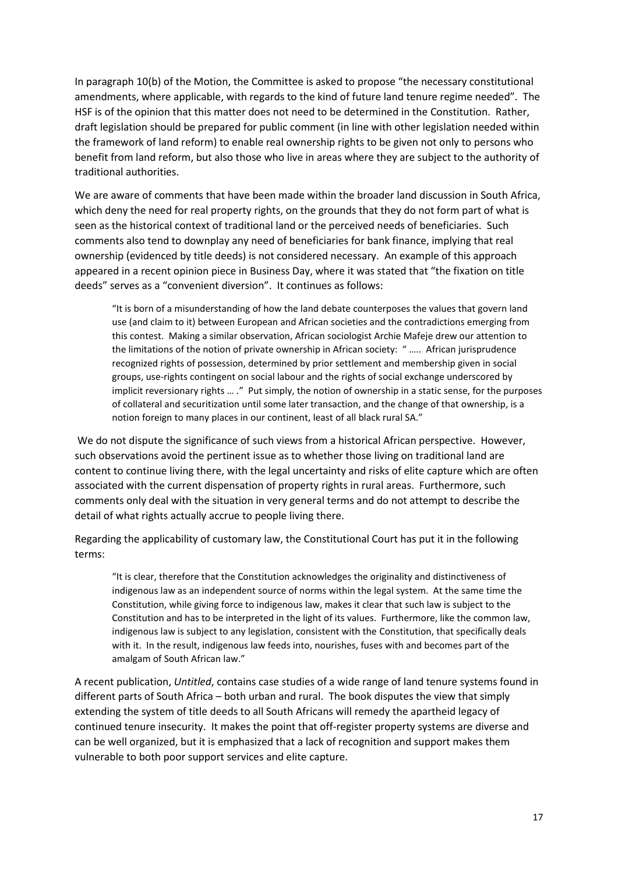In paragraph 10(b) of the Motion, the Committee is asked to propose "the necessary constitutional amendments, where applicable, with regards to the kind of future land tenure regime needed". The HSF is of the opinion that this matter does not need to be determined in the Constitution. Rather, draft legislation should be prepared for public comment (in line with other legislation needed within the framework of land reform) to enable real ownership rights to be given not only to persons who benefit from land reform, but also those who live in areas where they are subject to the authority of traditional authorities.

We are aware of comments that have been made within the broader land discussion in South Africa, which deny the need for real property rights, on the grounds that they do not form part of what is seen as the historical context of traditional land or the perceived needs of beneficiaries. Such comments also tend to downplay any need of beneficiaries for bank finance, implying that real ownership (evidenced by title deeds) is not considered necessary. An example of this approach appeared in a recent opinion piece in Business Day, where it was stated that "the fixation on title deeds" serves as a "convenient diversion". It continues as follows:

"It is born of a misunderstanding of how the land debate counterposes the values that govern land use (and claim to it) between European and African societies and the contradictions emerging from this contest. Making a similar observation, African sociologist Archie Mafeje drew our attention to the limitations of the notion of private ownership in African society: " ….. African jurisprudence recognized rights of possession, determined by prior settlement and membership given in social groups, use-rights contingent on social labour and the rights of social exchange underscored by implicit reversionary rights ... ." Put simply, the notion of ownership in a static sense, for the purposes of collateral and securitization until some later transaction, and the change of that ownership, is a notion foreign to many places in our continent, least of all black rural SA."

We do not dispute the significance of such views from a historical African perspective. However, such observations avoid the pertinent issue as to whether those living on traditional land are content to continue living there, with the legal uncertainty and risks of elite capture which are often associated with the current dispensation of property rights in rural areas. Furthermore, such comments only deal with the situation in very general terms and do not attempt to describe the detail of what rights actually accrue to people living there.

Regarding the applicability of customary law, the Constitutional Court has put it in the following terms:

"It is clear, therefore that the Constitution acknowledges the originality and distinctiveness of indigenous law as an independent source of norms within the legal system. At the same time the Constitution, while giving force to indigenous law, makes it clear that such law is subject to the Constitution and has to be interpreted in the light of its values. Furthermore, like the common law, indigenous law is subject to any legislation, consistent with the Constitution, that specifically deals with it. In the result, indigenous law feeds into, nourishes, fuses with and becomes part of the amalgam of South African law."

A recent publication, *Untitled*, contains case studies of a wide range of land tenure systems found in different parts of South Africa – both urban and rural. The book disputes the view that simply extending the system of title deeds to all South Africans will remedy the apartheid legacy of continued tenure insecurity. It makes the point that off-register property systems are diverse and can be well organized, but it is emphasized that a lack of recognition and support makes them vulnerable to both poor support services and elite capture.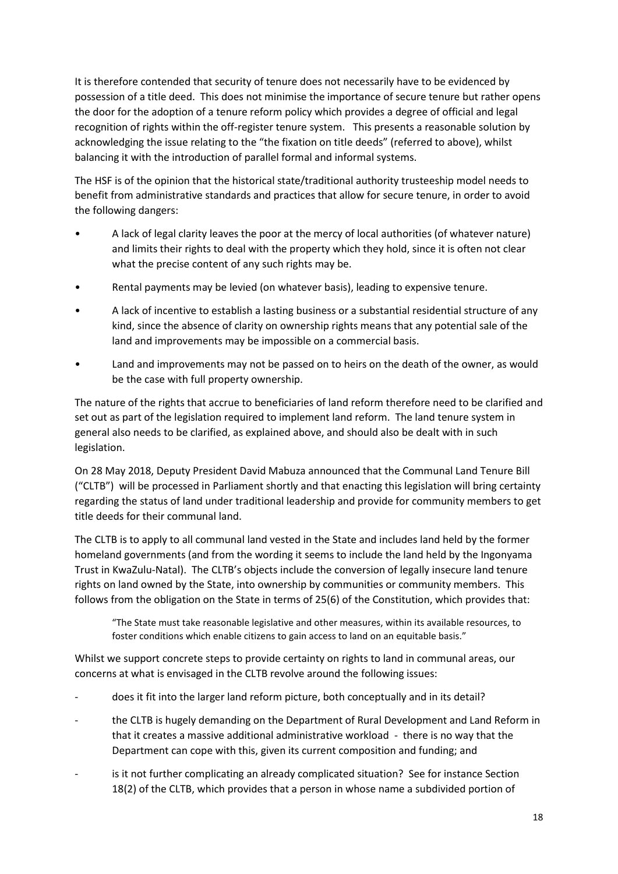It is therefore contended that security of tenure does not necessarily have to be evidenced by possession of a title deed. This does not minimise the importance of secure tenure but rather opens the door for the adoption of a tenure reform policy which provides a degree of official and legal recognition of rights within the off-register tenure system. This presents a reasonable solution by acknowledging the issue relating to the "the fixation on title deeds" (referred to above), whilst balancing it with the introduction of parallel formal and informal systems.

The HSF is of the opinion that the historical state/traditional authority trusteeship model needs to benefit from administrative standards and practices that allow for secure tenure, in order to avoid the following dangers:

- A lack of legal clarity leaves the poor at the mercy of local authorities (of whatever nature) and limits their rights to deal with the property which they hold, since it is often not clear what the precise content of any such rights may be.
- Rental payments may be levied (on whatever basis), leading to expensive tenure.
- A lack of incentive to establish a lasting business or a substantial residential structure of any kind, since the absence of clarity on ownership rights means that any potential sale of the land and improvements may be impossible on a commercial basis.
- Land and improvements may not be passed on to heirs on the death of the owner, as would be the case with full property ownership.

The nature of the rights that accrue to beneficiaries of land reform therefore need to be clarified and set out as part of the legislation required to implement land reform. The land tenure system in general also needs to be clarified, as explained above, and should also be dealt with in such legislation.

On 28 May 2018, Deputy President David Mabuza announced that the Communal Land Tenure Bill ("CLTB") will be processed in Parliament shortly and that enacting this legislation will bring certainty regarding the status of land under traditional leadership and provide for community members to get title deeds for their communal land.

The CLTB is to apply to all communal land vested in the State and includes land held by the former homeland governments (and from the wording it seems to include the land held by the Ingonyama Trust in KwaZulu-Natal). The CLTB's objects include the conversion of legally insecure land tenure rights on land owned by the State, into ownership by communities or community members. This follows from the obligation on the State in terms of 25(6) of the Constitution, which provides that:

"The State must take reasonable legislative and other measures, within its available resources, to foster conditions which enable citizens to gain access to land on an equitable basis."

Whilst we support concrete steps to provide certainty on rights to land in communal areas, our concerns at what is envisaged in the CLTB revolve around the following issues:

- does it fit into the larger land reform picture, both conceptually and in its detail?
- the CLTB is hugely demanding on the Department of Rural Development and Land Reform in that it creates a massive additional administrative workload - there is no way that the Department can cope with this, given its current composition and funding; and
- is it not further complicating an already complicated situation? See for instance Section 18(2) of the CLTB, which provides that a person in whose name a subdivided portion of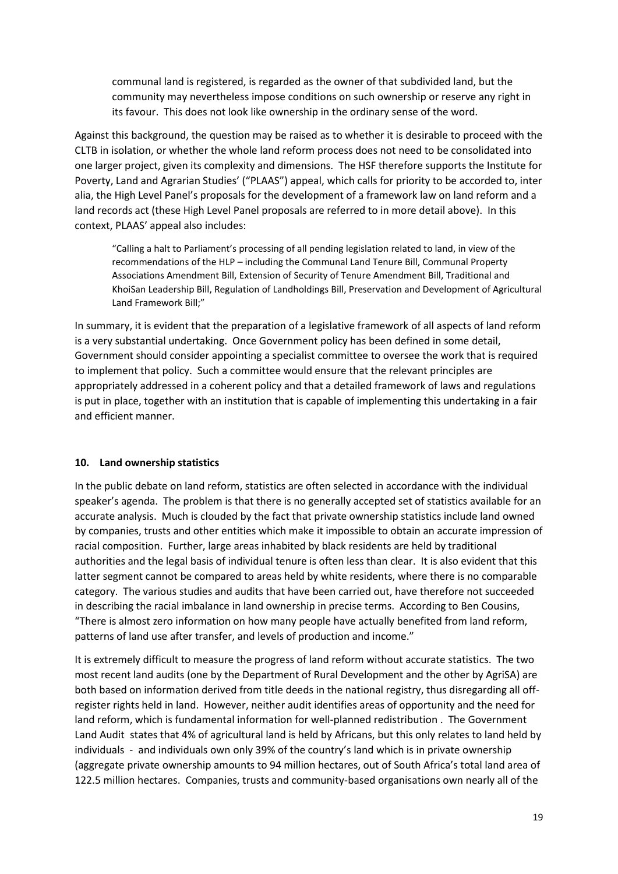communal land is registered, is regarded as the owner of that subdivided land, but the community may nevertheless impose conditions on such ownership or reserve any right in its favour. This does not look like ownership in the ordinary sense of the word.

Against this background, the question may be raised as to whether it is desirable to proceed with the CLTB in isolation, or whether the whole land reform process does not need to be consolidated into one larger project, given its complexity and dimensions. The HSF therefore supports the Institute for Poverty, Land and Agrarian Studies' ("PLAAS") appeal, which calls for priority to be accorded to, inter alia, the High Level Panel's proposals for the development of a framework law on land reform and a land records act (these High Level Panel proposals are referred to in more detail above). In this context, PLAAS' appeal also includes:

"Calling a halt to Parliament's processing of all pending legislation related to land, in view of the recommendations of the HLP – including the Communal Land Tenure Bill, Communal Property Associations Amendment Bill, Extension of Security of Tenure Amendment Bill, Traditional and KhoiSan Leadership Bill, Regulation of Landholdings Bill, Preservation and Development of Agricultural Land Framework Bill;"

In summary, it is evident that the preparation of a legislative framework of all aspects of land reform is a very substantial undertaking. Once Government policy has been defined in some detail, Government should consider appointing a specialist committee to oversee the work that is required to implement that policy. Such a committee would ensure that the relevant principles are appropriately addressed in a coherent policy and that a detailed framework of laws and regulations is put in place, together with an institution that is capable of implementing this undertaking in a fair and efficient manner.

#### **10. Land ownership statistics**

In the public debate on land reform, statistics are often selected in accordance with the individual speaker's agenda. The problem is that there is no generally accepted set of statistics available for an accurate analysis. Much is clouded by the fact that private ownership statistics include land owned by companies, trusts and other entities which make it impossible to obtain an accurate impression of racial composition. Further, large areas inhabited by black residents are held by traditional authorities and the legal basis of individual tenure is often less than clear. It is also evident that this latter segment cannot be compared to areas held by white residents, where there is no comparable category. The various studies and audits that have been carried out, have therefore not succeeded in describing the racial imbalance in land ownership in precise terms. According to Ben Cousins, "There is almost zero information on how many people have actually benefited from land reform, patterns of land use after transfer, and levels of production and income."

It is extremely difficult to measure the progress of land reform without accurate statistics. The two most recent land audits (one by the Department of Rural Development and the other by AgriSA) are both based on information derived from title deeds in the national registry, thus disregarding all offregister rights held in land. However, neither audit identifies areas of opportunity and the need for land reform, which is fundamental information for well-planned redistribution . The Government Land Audit states that 4% of agricultural land is held by Africans, but this only relates to land held by individuals - and individuals own only 39% of the country's land which is in private ownership (aggregate private ownership amounts to 94 million hectares, out of South Africa's total land area of 122.5 million hectares. Companies, trusts and community-based organisations own nearly all of the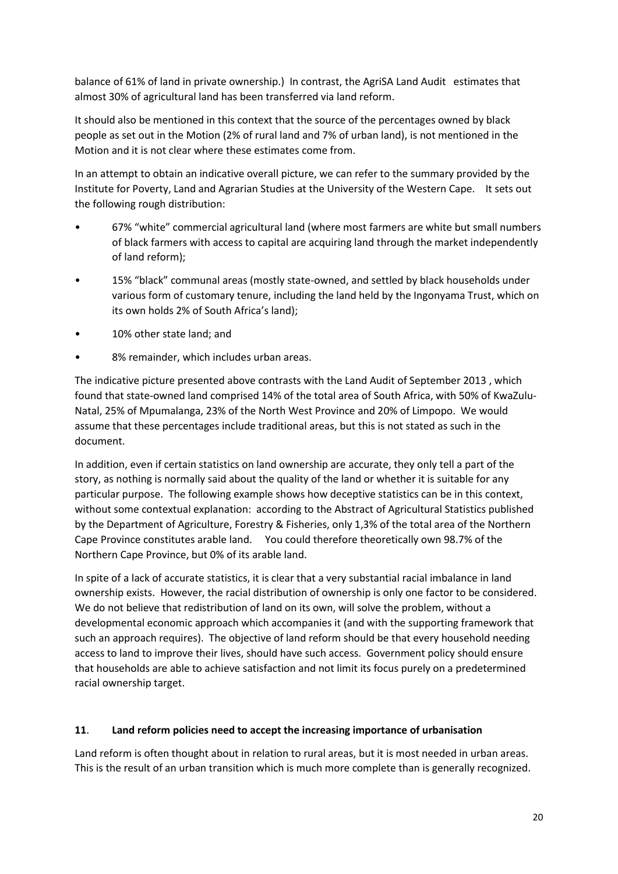balance of 61% of land in private ownership.) In contrast, the AgriSA Land Audit estimates that almost 30% of agricultural land has been transferred via land reform.

It should also be mentioned in this context that the source of the percentages owned by black people as set out in the Motion (2% of rural land and 7% of urban land), is not mentioned in the Motion and it is not clear where these estimates come from.

In an attempt to obtain an indicative overall picture, we can refer to the summary provided by the Institute for Poverty, Land and Agrarian Studies at the University of the Western Cape. It sets out the following rough distribution:

- 67% "white" commercial agricultural land (where most farmers are white but small numbers of black farmers with access to capital are acquiring land through the market independently of land reform);
- 15% "black" communal areas (mostly state-owned, and settled by black households under various form of customary tenure, including the land held by the Ingonyama Trust, which on its own holds 2% of South Africa's land);
- 10% other state land; and
- 8% remainder, which includes urban areas.

The indicative picture presented above contrasts with the Land Audit of September 2013 , which found that state-owned land comprised 14% of the total area of South Africa, with 50% of KwaZulu-Natal, 25% of Mpumalanga, 23% of the North West Province and 20% of Limpopo. We would assume that these percentages include traditional areas, but this is not stated as such in the document.

In addition, even if certain statistics on land ownership are accurate, they only tell a part of the story, as nothing is normally said about the quality of the land or whether it is suitable for any particular purpose. The following example shows how deceptive statistics can be in this context, without some contextual explanation: according to the Abstract of Agricultural Statistics published by the Department of Agriculture, Forestry & Fisheries, only 1,3% of the total area of the Northern Cape Province constitutes arable land. You could therefore theoretically own 98.7% of the Northern Cape Province, but 0% of its arable land.

In spite of a lack of accurate statistics, it is clear that a very substantial racial imbalance in land ownership exists. However, the racial distribution of ownership is only one factor to be considered. We do not believe that redistribution of land on its own, will solve the problem, without a developmental economic approach which accompanies it (and with the supporting framework that such an approach requires). The objective of land reform should be that every household needing access to land to improve their lives, should have such access. Government policy should ensure that households are able to achieve satisfaction and not limit its focus purely on a predetermined racial ownership target.

## **11**. **Land reform policies need to accept the increasing importance of urbanisation**

Land reform is often thought about in relation to rural areas, but it is most needed in urban areas. This is the result of an urban transition which is much more complete than is generally recognized.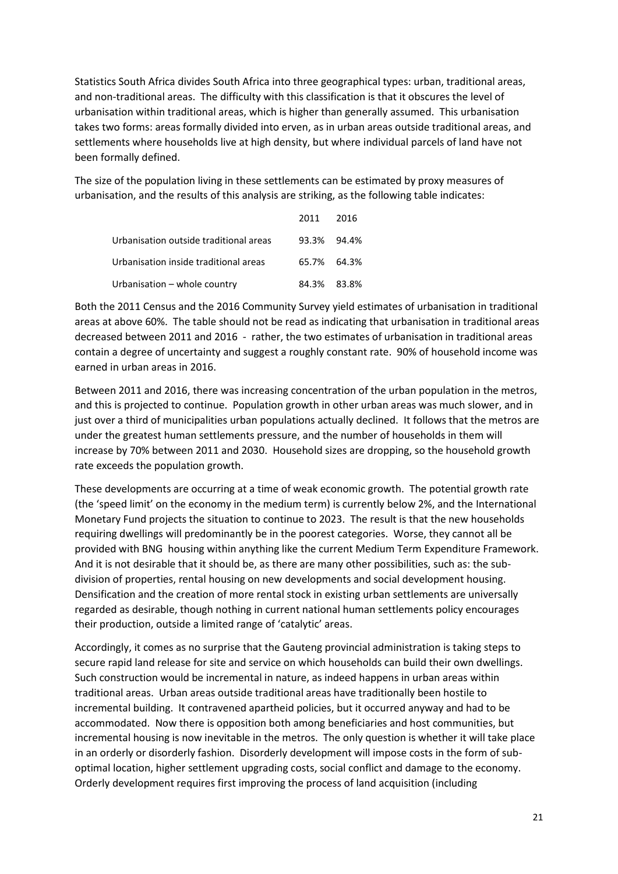Statistics South Africa divides South Africa into three geographical types: urban, traditional areas, and non-traditional areas. The difficulty with this classification is that it obscures the level of urbanisation within traditional areas, which is higher than generally assumed. This urbanisation takes two forms: areas formally divided into erven, as in urban areas outside traditional areas, and settlements where households live at high density, but where individual parcels of land have not been formally defined.

The size of the population living in these settlements can be estimated by proxy measures of urbanisation, and the results of this analysis are striking, as the following table indicates:

|                                        | 2011 2016   |  |
|----------------------------------------|-------------|--|
| Urbanisation outside traditional areas | 93.3% 94.4% |  |
| Urbanisation inside traditional areas  | 65.7% 64.3% |  |
| Urbanisation - whole country           | 84.3% 83.8% |  |

Both the 2011 Census and the 2016 Community Survey yield estimates of urbanisation in traditional areas at above 60%. The table should not be read as indicating that urbanisation in traditional areas decreased between 2011 and 2016 - rather, the two estimates of urbanisation in traditional areas contain a degree of uncertainty and suggest a roughly constant rate. 90% of household income was earned in urban areas in 2016.

Between 2011 and 2016, there was increasing concentration of the urban population in the metros, and this is projected to continue. Population growth in other urban areas was much slower, and in just over a third of municipalities urban populations actually declined. It follows that the metros are under the greatest human settlements pressure, and the number of households in them will increase by 70% between 2011 and 2030. Household sizes are dropping, so the household growth rate exceeds the population growth.

These developments are occurring at a time of weak economic growth. The potential growth rate (the 'speed limit' on the economy in the medium term) is currently below 2%, and the International Monetary Fund projects the situation to continue to 2023. The result is that the new households requiring dwellings will predominantly be in the poorest categories. Worse, they cannot all be provided with BNG housing within anything like the current Medium Term Expenditure Framework. And it is not desirable that it should be, as there are many other possibilities, such as: the subdivision of properties, rental housing on new developments and social development housing. Densification and the creation of more rental stock in existing urban settlements are universally regarded as desirable, though nothing in current national human settlements policy encourages their production, outside a limited range of 'catalytic' areas.

Accordingly, it comes as no surprise that the Gauteng provincial administration is taking steps to secure rapid land release for site and service on which households can build their own dwellings. Such construction would be incremental in nature, as indeed happens in urban areas within traditional areas. Urban areas outside traditional areas have traditionally been hostile to incremental building. It contravened apartheid policies, but it occurred anyway and had to be accommodated. Now there is opposition both among beneficiaries and host communities, but incremental housing is now inevitable in the metros. The only question is whether it will take place in an orderly or disorderly fashion. Disorderly development will impose costs in the form of suboptimal location, higher settlement upgrading costs, social conflict and damage to the economy. Orderly development requires first improving the process of land acquisition (including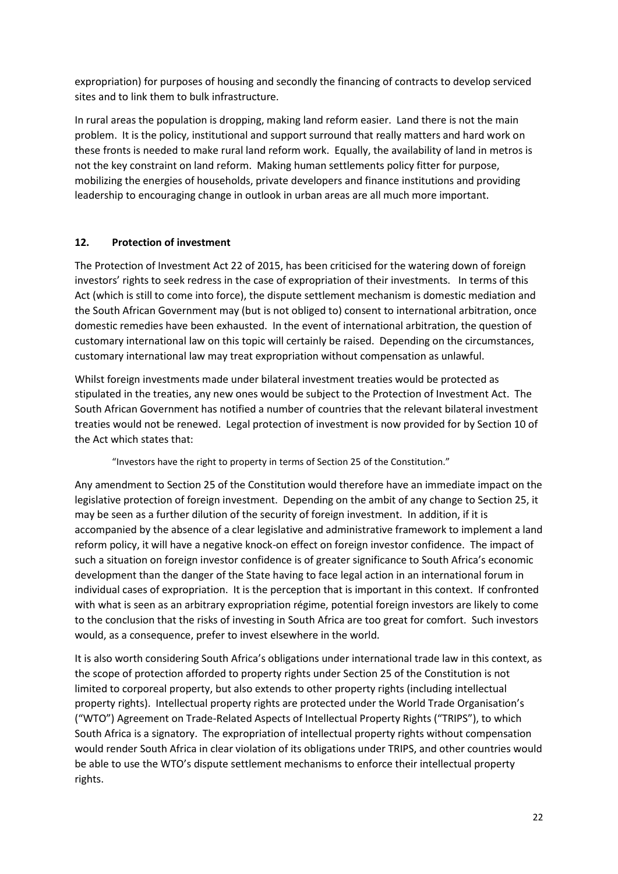expropriation) for purposes of housing and secondly the financing of contracts to develop serviced sites and to link them to bulk infrastructure.

In rural areas the population is dropping, making land reform easier. Land there is not the main problem. It is the policy, institutional and support surround that really matters and hard work on these fronts is needed to make rural land reform work. Equally, the availability of land in metros is not the key constraint on land reform. Making human settlements policy fitter for purpose, mobilizing the energies of households, private developers and finance institutions and providing leadership to encouraging change in outlook in urban areas are all much more important.

## **12. Protection of investment**

The Protection of Investment Act 22 of 2015, has been criticised for the watering down of foreign investors' rights to seek redress in the case of expropriation of their investments. In terms of this Act (which is still to come into force), the dispute settlement mechanism is domestic mediation and the South African Government may (but is not obliged to) consent to international arbitration, once domestic remedies have been exhausted. In the event of international arbitration, the question of customary international law on this topic will certainly be raised. Depending on the circumstances, customary international law may treat expropriation without compensation as unlawful.

Whilst foreign investments made under bilateral investment treaties would be protected as stipulated in the treaties, any new ones would be subject to the Protection of Investment Act. The South African Government has notified a number of countries that the relevant bilateral investment treaties would not be renewed. Legal protection of investment is now provided for by Section 10 of the Act which states that:

"Investors have the right to property in terms of Section 25 of the Constitution."

Any amendment to Section 25 of the Constitution would therefore have an immediate impact on the legislative protection of foreign investment. Depending on the ambit of any change to Section 25, it may be seen as a further dilution of the security of foreign investment. In addition, if it is accompanied by the absence of a clear legislative and administrative framework to implement a land reform policy, it will have a negative knock-on effect on foreign investor confidence. The impact of such a situation on foreign investor confidence is of greater significance to South Africa's economic development than the danger of the State having to face legal action in an international forum in individual cases of expropriation. It is the perception that is important in this context. If confronted with what is seen as an arbitrary expropriation régime, potential foreign investors are likely to come to the conclusion that the risks of investing in South Africa are too great for comfort. Such investors would, as a consequence, prefer to invest elsewhere in the world.

It is also worth considering South Africa's obligations under international trade law in this context, as the scope of protection afforded to property rights under Section 25 of the Constitution is not limited to corporeal property, but also extends to other property rights (including intellectual property rights). Intellectual property rights are protected under the World Trade Organisation's ("WTO") Agreement on Trade-Related Aspects of Intellectual Property Rights ("TRIPS"), to which South Africa is a signatory. The expropriation of intellectual property rights without compensation would render South Africa in clear violation of its obligations under TRIPS, and other countries would be able to use the WTO's dispute settlement mechanisms to enforce their intellectual property rights.